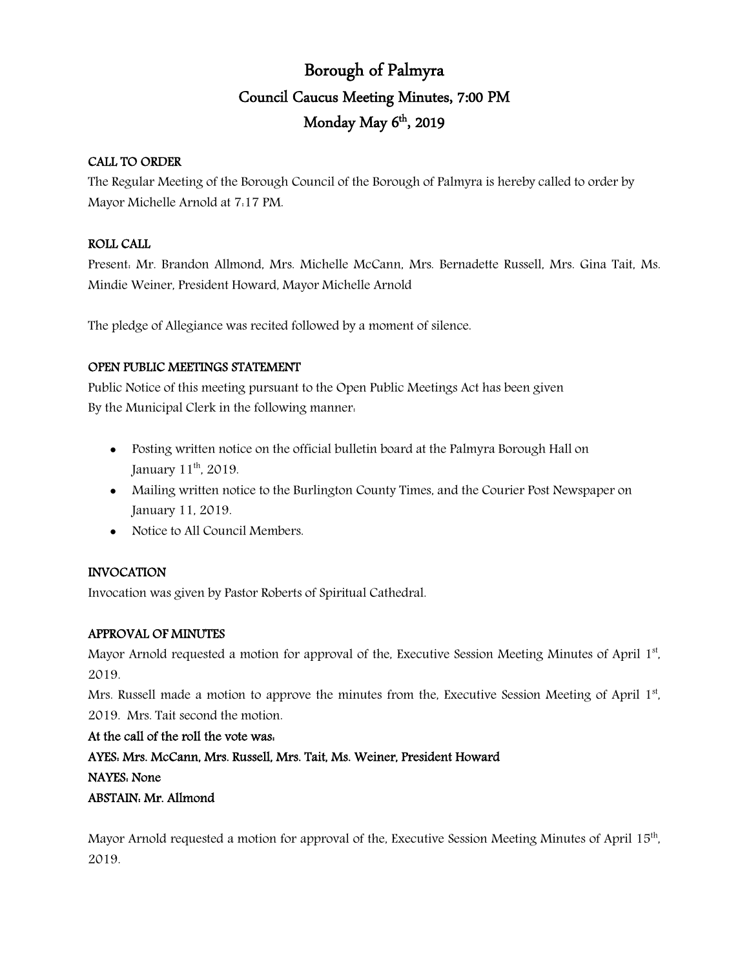# Borough of Palmyra Council Caucus Meeting Minutes, 7:00 PM Monday May 6<sup>th</sup>, 2019

## CALL TO ORDER

The Regular Meeting of the Borough Council of the Borough of Palmyra is hereby called to order by Mayor Michelle Arnold at 7:17 PM.

## ROLL CALL

Present: Mr. Brandon Allmond, Mrs. Michelle McCann, Mrs. Bernadette Russell, Mrs. Gina Tait, Ms. Mindie Weiner, President Howard, Mayor Michelle Arnold

The pledge of Allegiance was recited followed by a moment of silence.

# OPEN PUBLIC MEETINGS STATEMENT

Public Notice of this meeting pursuant to the Open Public Meetings Act has been given By the Municipal Clerk in the following manner:

- Posting written notice on the official bulletin board at the Palmyra Borough Hall on January 11<sup>th</sup>, 2019.
- Mailing written notice to the Burlington County Times, and the Courier Post Newspaper on January 11, 2019.
- Notice to All Council Members.

# INVOCATION

Invocation was given by Pastor Roberts of Spiritual Cathedral.

## APPROVAL OF MINUTES

Mayor Arnold requested a motion for approval of the, Executive Session Meeting Minutes of April 1st, 2019.

Mrs. Russell made a motion to approve the minutes from the, Executive Session Meeting of April 1st, 2019. Mrs. Tait second the motion.

At the call of the roll the vote was: AYES: Mrs. McCann, Mrs. Russell, Mrs. Tait, Ms. Weiner, President Howard NAYES: None

## ABSTAIN: Mr. Allmond

Mayor Arnold requested a motion for approval of the, Executive Session Meeting Minutes of April 15<sup>th</sup>, 2019.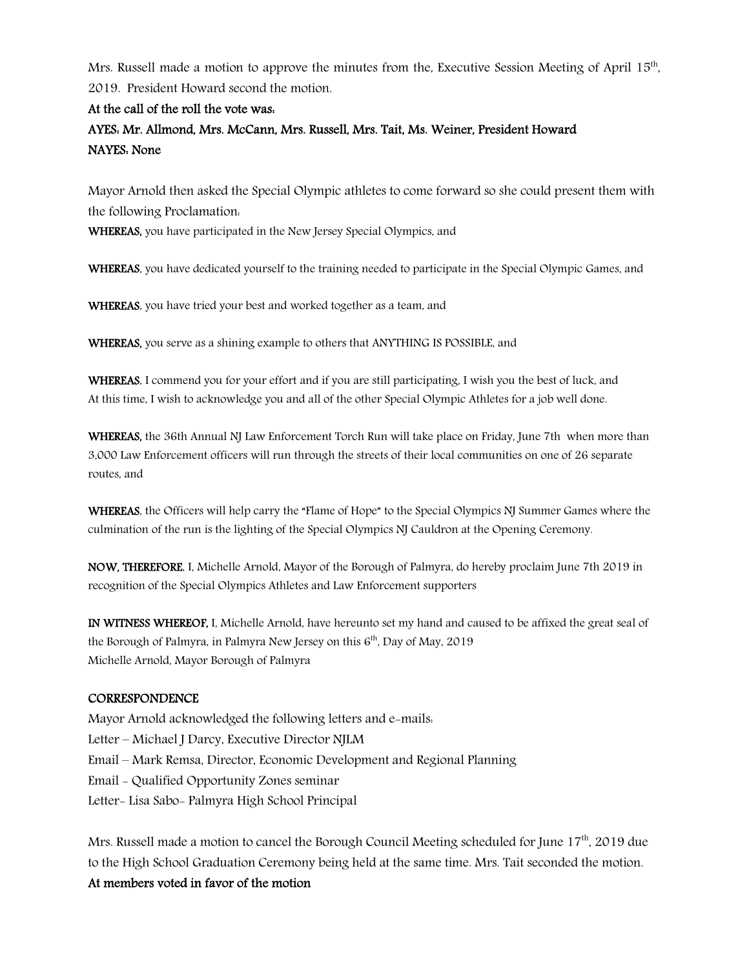Mrs. Russell made a motion to approve the minutes from the, Executive Session Meeting of April  $15<sup>th</sup>$ , 2019. President Howard second the motion.

## At the call of the roll the vote was:

# AYES: Mr. Allmond, Mrs. McCann, Mrs. Russell, Mrs. Tait, Ms. Weiner, President Howard NAYES: None

Mayor Arnold then asked the Special Olympic athletes to come forward so she could present them with the following Proclamation:

WHEREAS, you have participated in the New Jersey Special Olympics, and

WHEREAS, you have dedicated yourself to the training needed to participate in the Special Olympic Games, and

WHEREAS, you have tried your best and worked together as a team, and

WHEREAS, you serve as a shining example to others that ANYTHING IS POSSIBLE, and

WHEREAS, I commend you for your effort and if you are still participating, I wish you the best of luck, and At this time, I wish to acknowledge you and all of the other Special Olympic Athletes for a job well done.

WHEREAS, the 36th Annual NJ Law Enforcement Torch Run will take place on Friday, June 7th when more than 3,000 Law Enforcement officers will run through the streets of their local communities on one of 26 separate routes, and

WHEREAS, the Officers will help carry the "Flame of Hope" to the Special Olympics NJ Summer Games where the culmination of the run is the lighting of the Special Olympics NJ Cauldron at the Opening Ceremony.

NOW, THEREFORE, I, Michelle Arnold, Mayor of the Borough of Palmyra, do hereby proclaim June 7th 2019 in recognition of the Special Olympics Athletes and Law Enforcement supporters

IN WITNESS WHEREOF, I, Michelle Arnold, have hereunto set my hand and caused to be affixed the great seal of the Borough of Palmyra, in Palmyra New Jersey on this  $6<sup>th</sup>$ , Day of May, 2019 Michelle Arnold, Mayor Borough of Palmyra

### **CORRESPONDENCE**

Mayor Arnold acknowledged the following letters and e-mails: Letter – Michael J Darcy, Executive Director NJLM Email – Mark Remsa, Director, Economic Development and Regional Planning Email - Qualified Opportunity Zones seminar Letter- Lisa Sabo- Palmyra High School Principal

Mrs. Russell made a motion to cancel the Borough Council Meeting scheduled for June 17<sup>th</sup>, 2019 due to the High School Graduation Ceremony being held at the same time. Mrs. Tait seconded the motion.

## At members voted in favor of the motion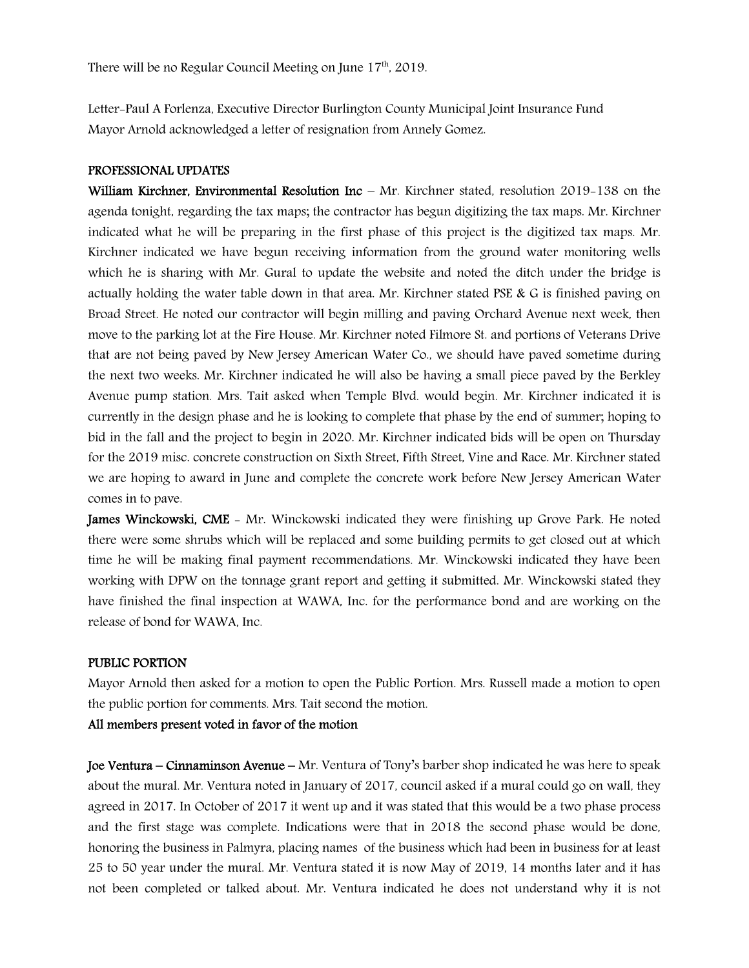Letter-Paul A Forlenza, Executive Director Burlington County Municipal Joint Insurance Fund Mayor Arnold acknowledged a letter of resignation from Annely Gomez.

#### PROFESSIONAL UPDATES

William Kirchner, Environmental Resolution Inc – Mr. Kirchner stated, resolution 2019–138 on the agenda tonight, regarding the tax maps; the contractor has begun digitizing the tax maps. Mr. Kirchner indicated what he will be preparing in the first phase of this project is the digitized tax maps. Mr. Kirchner indicated we have begun receiving information from the ground water monitoring wells which he is sharing with Mr. Gural to update the website and noted the ditch under the bridge is actually holding the water table down in that area. Mr. Kirchner stated PSE & G is finished paving on Broad Street. He noted our contractor will begin milling and paving Orchard Avenue next week, then move to the parking lot at the Fire House. Mr. Kirchner noted Filmore St. and portions of Veterans Drive that are not being paved by New Jersey American Water Co., we should have paved sometime during the next two weeks. Mr. Kirchner indicated he will also be having a small piece paved by the Berkley Avenue pump station. Mrs. Tait asked when Temple Blvd. would begin. Mr. Kirchner indicated it is currently in the design phase and he is looking to complete that phase by the end of summer; hoping to bid in the fall and the project to begin in 2020. Mr. Kirchner indicated bids will be open on Thursday for the 2019 misc. concrete construction on Sixth Street, Fifth Street, Vine and Race. Mr. Kirchner stated we are hoping to award in June and complete the concrete work before New Jersey American Water comes in to pave.

**James Winckowski, CME** – Mr. Winckowski indicated they were finishing up Grove Park. He noted there were some shrubs which will be replaced and some building permits to get closed out at which time he will be making final payment recommendations. Mr. Winckowski indicated they have been working with DPW on the tonnage grant report and getting it submitted. Mr. Winckowski stated they have finished the final inspection at WAWA, Inc. for the performance bond and are working on the release of bond for WAWA, Inc.

#### PUBLIC PORTION

Mayor Arnold then asked for a motion to open the Public Portion. Mrs. Russell made a motion to open the public portion for comments. Mrs. Tait second the motion.

#### All members present voted in favor of the motion

Joe Ventura – Cinnaminson Avenue – Mr. Ventura of Tony's barber shop indicated he was here to speak about the mural. Mr. Ventura noted in January of 2017, council asked if a mural could go on wall, they agreed in 2017. In October of 2017 it went up and it was stated that this would be a two phase process and the first stage was complete. Indications were that in 2018 the second phase would be done, honoring the business in Palmyra, placing names of the business which had been in business for at least 25 to 50 year under the mural. Mr. Ventura stated it is now May of 2019, 14 months later and it has not been completed or talked about. Mr. Ventura indicated he does not understand why it is not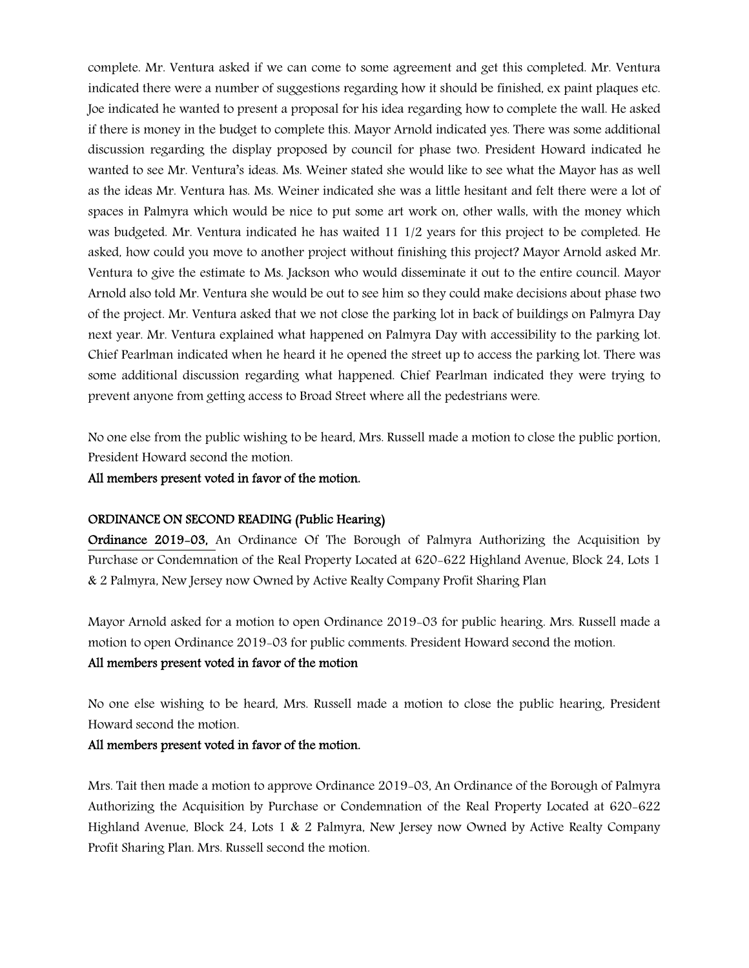complete. Mr. Ventura asked if we can come to some agreement and get this completed. Mr. Ventura indicated there were a number of suggestions regarding how it should be finished, ex paint plaques etc. Joe indicated he wanted to present a proposal for his idea regarding how to complete the wall. He asked if there is money in the budget to complete this. Mayor Arnold indicated yes. There was some additional discussion regarding the display proposed by council for phase two. President Howard indicated he wanted to see Mr. Ventura's ideas. Ms. Weiner stated she would like to see what the Mayor has as well as the ideas Mr. Ventura has. Ms. Weiner indicated she was a little hesitant and felt there were a lot of spaces in Palmyra which would be nice to put some art work on, other walls, with the money which was budgeted. Mr. Ventura indicated he has waited 11 1/2 years for this project to be completed. He asked, how could you move to another project without finishing this project? Mayor Arnold asked Mr. Ventura to give the estimate to Ms. Jackson who would disseminate it out to the entire council. Mayor Arnold also told Mr. Ventura she would be out to see him so they could make decisions about phase two of the project. Mr. Ventura asked that we not close the parking lot in back of buildings on Palmyra Day next year. Mr. Ventura explained what happened on Palmyra Day with accessibility to the parking lot. Chief Pearlman indicated when he heard it he opened the street up to access the parking lot. There was some additional discussion regarding what happened. Chief Pearlman indicated they were trying to prevent anyone from getting access to Broad Street where all the pedestrians were.

No one else from the public wishing to be heard, Mrs. Russell made a motion to close the public portion, President Howard second the motion.

All members present voted in favor of the motion.

#### ORDINANCE ON SECOND READING (Public Hearing)

Ordinance 2019-03, An Ordinance Of The Borough of Palmyra Authorizing the Acquisition by Purchase or Condemnation of the Real Property Located at 620-622 Highland Avenue, Block 24, Lots 1 & 2 Palmyra, New Jersey now Owned by Active Realty Company Profit Sharing Plan

Mayor Arnold asked for a motion to open Ordinance 2019-03 for public hearing. Mrs. Russell made a motion to open Ordinance 2019-03 for public comments. President Howard second the motion.

#### All members present voted in favor of the motion

No one else wishing to be heard, Mrs. Russell made a motion to close the public hearing, President Howard second the motion.

#### All members present voted in favor of the motion.

Mrs. Tait then made a motion to approve Ordinance 2019-03, An Ordinance of the Borough of Palmyra Authorizing the Acquisition by Purchase or Condemnation of the Real Property Located at 620-622 Highland Avenue, Block 24, Lots 1 & 2 Palmyra, New Jersey now Owned by Active Realty Company Profit Sharing Plan. Mrs. Russell second the motion.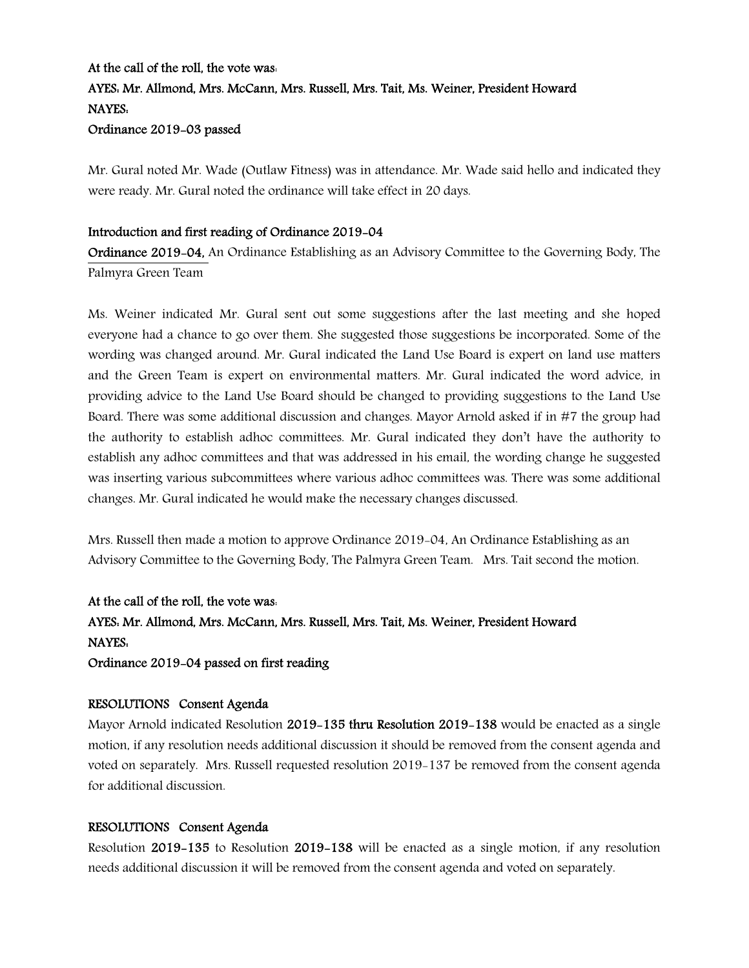# At the call of the roll, the vote was: AYES: Mr. Allmond, Mrs. McCann, Mrs. Russell, Mrs. Tait, Ms. Weiner, President Howard NAYES:

## Ordinance 2019-03 passed

Mr. Gural noted Mr. Wade (Outlaw Fitness) was in attendance. Mr. Wade said hello and indicated they were ready. Mr. Gural noted the ordinance will take effect in 20 days.

## Introduction and first reading of Ordinance 2019-04

Ordinance 2019-04, An Ordinance Establishing as an Advisory Committee to the Governing Body, The Palmyra Green Team

Ms. Weiner indicated Mr. Gural sent out some suggestions after the last meeting and she hoped everyone had a chance to go over them. She suggested those suggestions be incorporated. Some of the wording was changed around. Mr. Gural indicated the Land Use Board is expert on land use matters and the Green Team is expert on environmental matters. Mr. Gural indicated the word advice, in providing advice to the Land Use Board should be changed to providing suggestions to the Land Use Board. There was some additional discussion and changes. Mayor Arnold asked if in #7 the group had the authority to establish adhoc committees. Mr. Gural indicated they don't have the authority to establish any adhoc committees and that was addressed in his email, the wording change he suggested was inserting various subcommittees where various adhoc committees was. There was some additional changes. Mr. Gural indicated he would make the necessary changes discussed.

Mrs. Russell then made a motion to approve Ordinance 2019-04, An Ordinance Establishing as an Advisory Committee to the Governing Body, The Palmyra Green Team. Mrs. Tait second the motion.

At the call of the roll, the vote was: AYES: Mr. Allmond, Mrs. McCann, Mrs. Russell, Mrs. Tait, Ms. Weiner, President Howard NAYES: Ordinance 2019-04 passed on first reading

### RESOLUTIONS Consent Agenda

Mayor Arnold indicated Resolution 2019-135 thru Resolution 2019-138 would be enacted as a single motion, if any resolution needs additional discussion it should be removed from the consent agenda and voted on separately. Mrs. Russell requested resolution 2019-137 be removed from the consent agenda for additional discussion.

### RESOLUTIONS Consent Agenda

Resolution 2019-135 to Resolution 2019-138 will be enacted as a single motion, if any resolution needs additional discussion it will be removed from the consent agenda and voted on separately.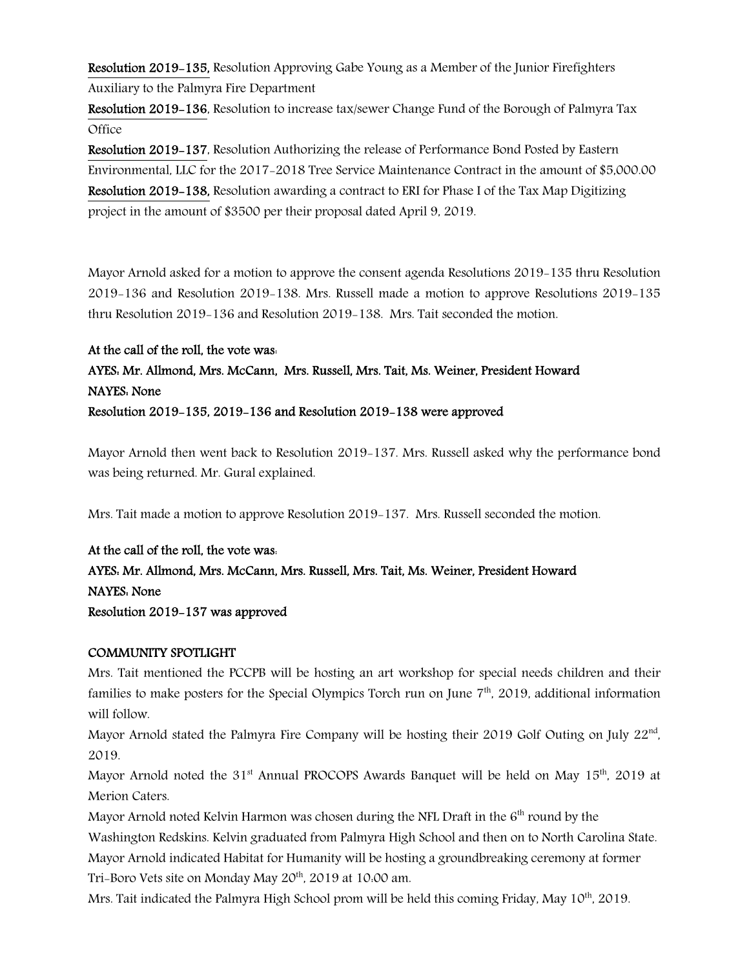Resolution 2019-135, Resolution Approving Gabe Young as a Member of the Junior Firefighters Auxiliary to the Palmyra Fire Department

Resolution 2019-136, Resolution to increase tax/sewer Change Fund of the Borough of Palmyra Tax **Office** 

Resolution 2019-137, Resolution Authorizing the release of Performance Bond Posted by Eastern Environmental, LLC for the 2017-2018 Tree Service Maintenance Contract in the amount of \$5,000.00 Resolution 2019-138, Resolution awarding a contract to ERI for Phase I of the Tax Map Digitizing project in the amount of \$3500 per their proposal dated April 9, 2019.

Mayor Arnold asked for a motion to approve the consent agenda Resolutions 2019-135 thru Resolution 2019-136 and Resolution 2019-138. Mrs. Russell made a motion to approve Resolutions 2019-135 thru Resolution 2019-136 and Resolution 2019-138. Mrs. Tait seconded the motion.

# At the call of the roll, the vote was: AYES: Mr. Allmond, Mrs. McCann, Mrs. Russell, Mrs. Tait, Ms. Weiner, President Howard NAYES: None Resolution 2019-135, 2019-136 and Resolution 2019-138 were approved

Mayor Arnold then went back to Resolution 2019-137. Mrs. Russell asked why the performance bond was being returned. Mr. Gural explained.

Mrs. Tait made a motion to approve Resolution 2019-137. Mrs. Russell seconded the motion.

# At the call of the roll, the vote was: AYES: Mr. Allmond, Mrs. McCann, Mrs. Russell, Mrs. Tait, Ms. Weiner, President Howard NAYES: None Resolution 2019-137 was approved

# COMMUNITY SPOTLIGHT

Mrs. Tait mentioned the PCCPB will be hosting an art workshop for special needs children and their families to make posters for the Special Olympics Torch run on June 7<sup>th</sup>, 2019, additional information will follow.

Mayor Arnold stated the Palmyra Fire Company will be hosting their 2019 Golf Outing on July 22<sup>nd</sup>, 2019.

Mayor Arnold noted the  $31<sup>st</sup>$  Annual PROCOPS Awards Banquet will be held on May  $15<sup>th</sup>$ , 2019 at Merion Caters.

Mayor Arnold noted Kelvin Harmon was chosen during the NFL Draft in the  $6<sup>th</sup>$  round by the Washington Redskins. Kelvin graduated from Palmyra High School and then on to North Carolina State. Mayor Arnold indicated Habitat for Humanity will be hosting a groundbreaking ceremony at former Tri-Boro Vets site on Monday May 20<sup>th</sup>, 2019 at 10:00 am.

Mrs. Tait indicated the Palmyra High School prom will be held this coming Friday, May  $10^{th}$ , 2019.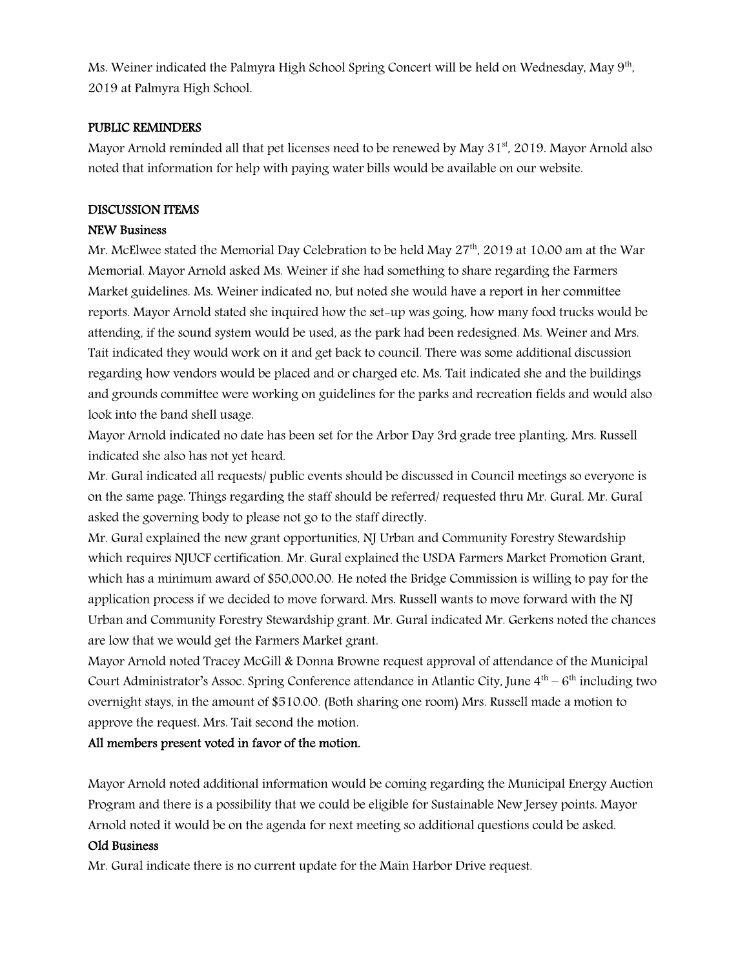Ms. Weiner indicated the Palmyra High School Spring Concert will be held on Wednesday, May 9<sup>th</sup>, 2019 at Palmyra High School.

## PUBLIC REMINDERS

Mayor Arnold reminded all that pet licenses need to be renewed by May 31<sup>st</sup>, 2019. Mayor Arnold also noted that information for help with paying water bills would be available on our website.

## DISCUSSION ITEMS

## NEW Business

Mr. McElwee stated the Memorial Day Celebration to be held May 27<sup>th</sup>, 2019 at 10:00 am at the War Memorial. Mayor Arnold asked Ms. Weiner if she had something to share regarding the Farmers Market guidelines. Ms. Weiner indicated no, but noted she would have a report in her committee reports. Mayor Arnold stated she inquired how the set-up was going, how many food trucks would be attending, if the sound system would be used, as the park had been redesigned. Ms. Weiner and Mrs. Tait indicated they would work on it and get back to council. There was some additional discussion regarding how vendors would be placed and or charged etc. Ms. Tait indicated she and the buildings and grounds committee were working on guidelines for the parks and recreation fields and would also look into the band shell usage.

Mayor Arnold indicated no date has been set for the Arbor Day 3rd grade tree planting. Mrs. Russell indicated she also has not yet heard.

Mr. Gural indicated all requests/ public events should be discussed in Council meetings so everyone is on the same page. Things regarding the staff should be referred/ requested thru Mr. Gural. Mr. Gural asked the governing body to please not go to the staff directly.

Mr. Gural explained the new grant opportunities, NJ Urban and Community Forestry Stewardship which requires NJUCF certification. Mr. Gural explained the USDA Farmers Market Promotion Grant, which has a minimum award of \$50,000.00. He noted the Bridge Commission is willing to pay for the application process if we decided to move forward. Mrs. Russell wants to move forward with the NJ Urban and Community Forestry Stewardship grant. Mr. Gural indicated Mr. Gerkens noted the chances are low that we would get the Farmers Market grant.

Mayor Arnold noted Tracey McGill & Donna Browne request approval of attendance of the Municipal Court Administrator's Assoc. Spring Conference attendance in Atlantic City, June  $4^{th} - 6^{th}$  including two overnight stays, in the amount of \$510.00. (Both sharing one room) Mrs. Russell made a motion to approve the request. Mrs. Tait second the motion.

### All members present voted in favor of the motion.

Mayor Arnold noted additional information would be coming regarding the Municipal Energy Auction Program and there is a possibility that we could be eligible for Sustainable New Jersey points. Mayor Arnold noted it would be on the agenda for next meeting so additional questions could be asked.

### Old Business

Mr. Gural indicate there is no current update for the Main Harbor Drive request.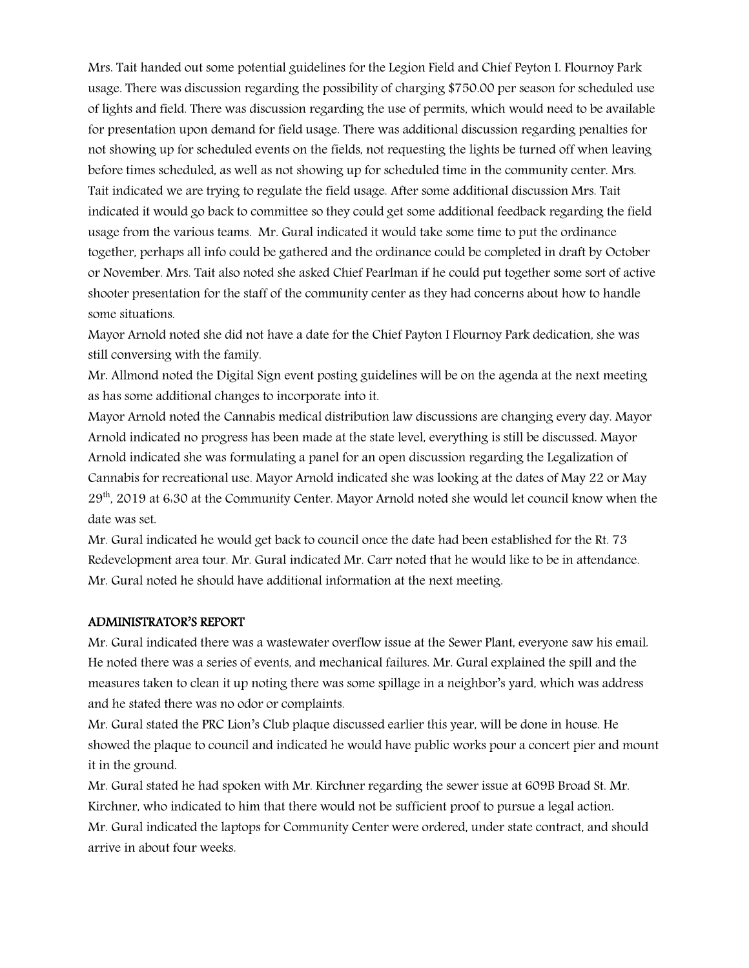Mrs. Tait handed out some potential guidelines for the Legion Field and Chief Peyton I. Flournoy Park usage. There was discussion regarding the possibility of charging \$750.00 per season for scheduled use of lights and field. There was discussion regarding the use of permits, which would need to be available for presentation upon demand for field usage. There was additional discussion regarding penalties for not showing up for scheduled events on the fields, not requesting the lights be turned off when leaving before times scheduled, as well as not showing up for scheduled time in the community center. Mrs. Tait indicated we are trying to regulate the field usage. After some additional discussion Mrs. Tait indicated it would go back to committee so they could get some additional feedback regarding the field usage from the various teams. Mr. Gural indicated it would take some time to put the ordinance together, perhaps all info could be gathered and the ordinance could be completed in draft by October or November. Mrs. Tait also noted she asked Chief Pearlman if he could put together some sort of active shooter presentation for the staff of the community center as they had concerns about how to handle some situations.

Mayor Arnold noted she did not have a date for the Chief Payton I Flournoy Park dedication, she was still conversing with the family.

Mr. Allmond noted the Digital Sign event posting guidelines will be on the agenda at the next meeting as has some additional changes to incorporate into it.

Mayor Arnold noted the Cannabis medical distribution law discussions are changing every day. Mayor Arnold indicated no progress has been made at the state level, everything is still be discussed. Mayor Arnold indicated she was formulating a panel for an open discussion regarding the Legalization of Cannabis for recreational use. Mayor Arnold indicated she was looking at the dates of May 22 or May 29<sup>th</sup>, 2019 at 6:30 at the Community Center. Mayor Arnold noted she would let council know when the date was set.

Mr. Gural indicated he would get back to council once the date had been established for the Rt. 73 Redevelopment area tour. Mr. Gural indicated Mr. Carr noted that he would like to be in attendance. Mr. Gural noted he should have additional information at the next meeting.

#### ADMINISTRATOR'S REPORT

Mr. Gural indicated there was a wastewater overflow issue at the Sewer Plant, everyone saw his email. He noted there was a series of events, and mechanical failures. Mr. Gural explained the spill and the measures taken to clean it up noting there was some spillage in a neighbor's yard, which was address and he stated there was no odor or complaints.

Mr. Gural stated the PRC Lion's Club plaque discussed earlier this year, will be done in house. He showed the plaque to council and indicated he would have public works pour a concert pier and mount it in the ground.

Mr. Gural stated he had spoken with Mr. Kirchner regarding the sewer issue at 609B Broad St. Mr. Kirchner, who indicated to him that there would not be sufficient proof to pursue a legal action. Mr. Gural indicated the laptops for Community Center were ordered, under state contract, and should arrive in about four weeks.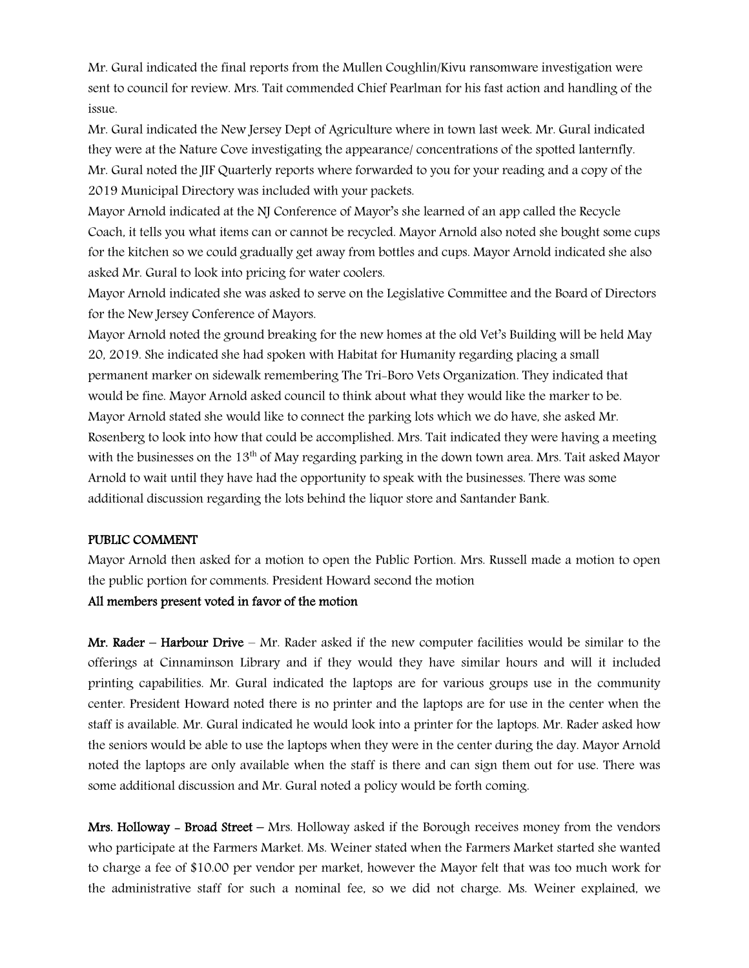Mr. Gural indicated the final reports from the Mullen Coughlin/Kivu ransomware investigation were sent to council for review. Mrs. Tait commended Chief Pearlman for his fast action and handling of the issue.

Mr. Gural indicated the New Jersey Dept of Agriculture where in town last week. Mr. Gural indicated they were at the Nature Cove investigating the appearance/ concentrations of the spotted lanternfly. Mr. Gural noted the JIF Quarterly reports where forwarded to you for your reading and a copy of the 2019 Municipal Directory was included with your packets.

Mayor Arnold indicated at the NJ Conference of Mayor's she learned of an app called the Recycle Coach, it tells you what items can or cannot be recycled. Mayor Arnold also noted she bought some cups for the kitchen so we could gradually get away from bottles and cups. Mayor Arnold indicated she also asked Mr. Gural to look into pricing for water coolers.

Mayor Arnold indicated she was asked to serve on the Legislative Committee and the Board of Directors for the New Jersey Conference of Mayors.

Mayor Arnold noted the ground breaking for the new homes at the old Vet's Building will be held May 20, 2019. She indicated she had spoken with Habitat for Humanity regarding placing a small permanent marker on sidewalk remembering The Tri-Boro Vets Organization. They indicated that would be fine. Mayor Arnold asked council to think about what they would like the marker to be. Mayor Arnold stated she would like to connect the parking lots which we do have, she asked Mr. Rosenberg to look into how that could be accomplished. Mrs. Tait indicated they were having a meeting with the businesses on the 13<sup>th</sup> of May regarding parking in the down town area. Mrs. Tait asked Mayor Arnold to wait until they have had the opportunity to speak with the businesses. There was some additional discussion regarding the lots behind the liquor store and Santander Bank.

#### PUBLIC COMMENT

Mayor Arnold then asked for a motion to open the Public Portion. Mrs. Russell made a motion to open the public portion for comments. President Howard second the motion

#### All members present voted in favor of the motion

Mr. Rader – Harbour Drive – Mr. Rader asked if the new computer facilities would be similar to the offerings at Cinnaminson Library and if they would they have similar hours and will it included printing capabilities. Mr. Gural indicated the laptops are for various groups use in the community center. President Howard noted there is no printer and the laptops are for use in the center when the staff is available. Mr. Gural indicated he would look into a printer for the laptops. Mr. Rader asked how the seniors would be able to use the laptops when they were in the center during the day. Mayor Arnold noted the laptops are only available when the staff is there and can sign them out for use. There was some additional discussion and Mr. Gural noted a policy would be forth coming.

**Mrs. Holloway - Broad Street –** Mrs. Holloway asked if the Borough receives money from the vendors who participate at the Farmers Market. Ms. Weiner stated when the Farmers Market started she wanted to charge a fee of \$10.00 per vendor per market, however the Mayor felt that was too much work for the administrative staff for such a nominal fee, so we did not charge. Ms. Weiner explained, we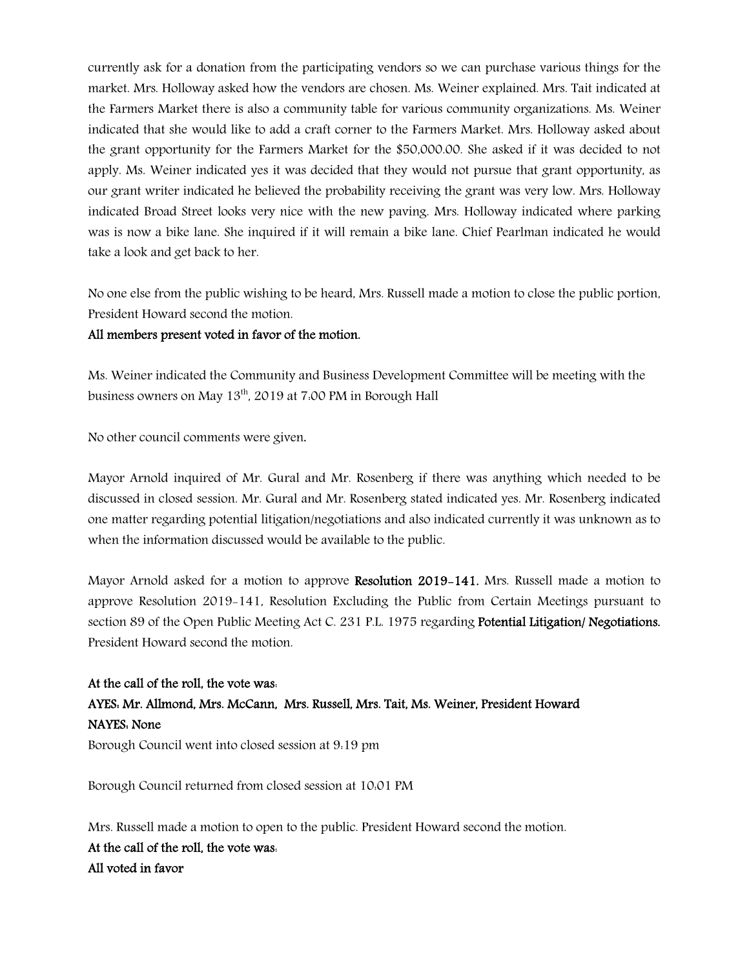currently ask for a donation from the participating vendors so we can purchase various things for the market. Mrs. Holloway asked how the vendors are chosen. Ms. Weiner explained. Mrs. Tait indicated at the Farmers Market there is also a community table for various community organizations. Ms. Weiner indicated that she would like to add a craft corner to the Farmers Market. Mrs. Holloway asked about the grant opportunity for the Farmers Market for the \$50,000.00. She asked if it was decided to not apply. Ms. Weiner indicated yes it was decided that they would not pursue that grant opportunity, as our grant writer indicated he believed the probability receiving the grant was very low. Mrs. Holloway indicated Broad Street looks very nice with the new paving. Mrs. Holloway indicated where parking was is now a bike lane. She inquired if it will remain a bike lane. Chief Pearlman indicated he would take a look and get back to her.

No one else from the public wishing to be heard, Mrs. Russell made a motion to close the public portion, President Howard second the motion.

### All members present voted in favor of the motion.

Ms. Weiner indicated the Community and Business Development Committee will be meeting with the business owners on May 13<sup>th</sup>, 2019 at 7:00 PM in Borough Hall

No other council comments were given.

Mayor Arnold inquired of Mr. Gural and Mr. Rosenberg if there was anything which needed to be discussed in closed session. Mr. Gural and Mr. Rosenberg stated indicated yes. Mr. Rosenberg indicated one matter regarding potential litigation/negotiations and also indicated currently it was unknown as to when the information discussed would be available to the public.

Mayor Arnold asked for a motion to approve Resolution 2019–141. Mrs. Russell made a motion to approve Resolution 2019-141, Resolution Excluding the Public from Certain Meetings pursuant to section 89 of the Open Public Meeting Act C. 231 P.L. 1975 regarding **Potential Litigation/ Negotiations.** President Howard second the motion.

At the call of the roll, the vote was: AYES: Mr. Allmond, Mrs. McCann, Mrs. Russell, Mrs. Tait, Ms. Weiner, President Howard NAYES: None Borough Council went into closed session at 9:19 pm

Borough Council returned from closed session at 10:01 PM

Mrs. Russell made a motion to open to the public. President Howard second the motion. At the call of the roll, the vote was: All voted in favor